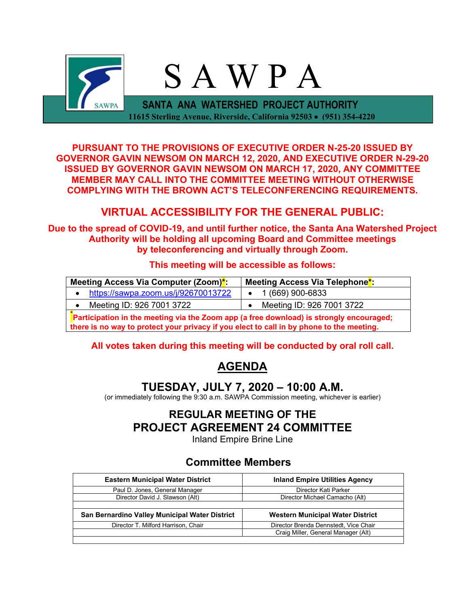

**PURSUANT TO THE PROVISIONS OF EXECUTIVE ORDER N-25-20 ISSUED BY GOVERNOR GAVIN NEWSOM ON MARCH 12, 2020, AND EXECUTIVE ORDER N-29-20 ISSUED BY GOVERNOR GAVIN NEWSOM ON MARCH 17, 2020, ANY COMMITTEE MEMBER MAY CALL INTO THE COMMITTEE MEETING WITHOUT OTHERWISE COMPLYING WITH THE BROWN ACT'S TELECONFERENCING REQUIREMENTS.**

## **VIRTUAL ACCESSIBILITY FOR THE GENERAL PUBLIC:**

**Due to the spread of COVID-19, and until further notice, the Santa Ana Watershed Project Authority will be holding all upcoming Board and Committee meetings by teleconferencing and virtually through Zoom.**

## **This meeting will be accessible as follows:**

| Meeting Access Via Computer (Zoom) <sup>*</sup> :                                       | Meeting Access Via Telephone <sup>*</sup> : |  |  |
|-----------------------------------------------------------------------------------------|---------------------------------------------|--|--|
| https://sawpa.zoom.us/j/92670013722                                                     | 1 (669) 900-6833                            |  |  |
| Meeting ID: 926 7001 3722                                                               | Meeting ID: 926 7001 3722                   |  |  |
| Particination in the meeting via the Zoom ann (a free download) is strongly encouraged: |                                             |  |  |

**Participation in the meeting via the Zoom app (a free download) is strongly encouraged; there is no way to protect your privacy if you elect to call in by phone to the meeting.**

## **All votes taken during this meeting will be conducted by oral roll call.**

## **AGENDA**

## **TUESDAY, JULY 7, 2020 – 10:00 A.M.**

(or immediately following the 9:30 a.m. SAWPA Commission meeting, whichever is earlier)

# **REGULAR MEETING OF THE PROJECT AGREEMENT 24 COMMITTEE**

Inland Empire Brine Line

## **Committee Members**

| <b>Eastern Municipal Water District</b>        | <b>Inland Empire Utilities Agency</b>   |  |  |
|------------------------------------------------|-----------------------------------------|--|--|
| Paul D. Jones, General Manager                 | Director Kati Parker                    |  |  |
| Director David J. Slawson (Alt)                | Director Michael Camacho (Alt)          |  |  |
|                                                |                                         |  |  |
| San Bernardino Valley Municipal Water District | <b>Western Municipal Water District</b> |  |  |
| Director T. Milford Harrison, Chair            | Director Brenda Dennstedt, Vice Chair   |  |  |
|                                                | Craig Miller, General Manager (Alt)     |  |  |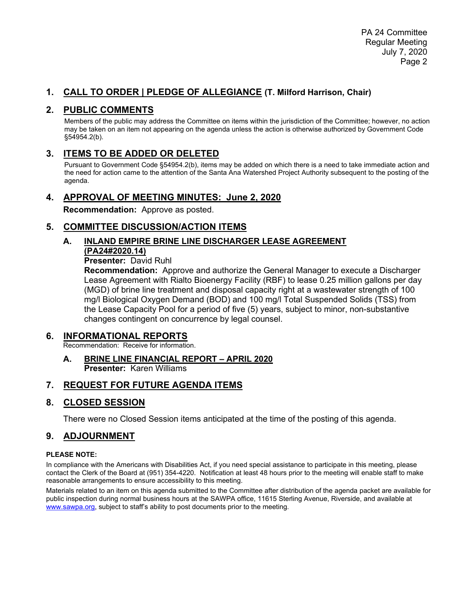## **1. CALL TO ORDER | PLEDGE OF ALLEGIANCE (T. Milford Harrison, Chair)**

## **2. PUBLIC COMMENTS**

Members of the public may address the Committee on items within the jurisdiction of the Committee; however, no action may be taken on an item not appearing on the agenda unless the action is otherwise authorized by Government Code §54954.2(b).

## **3. ITEMS TO BE ADDED OR DELETED**

Pursuant to Government Code §54954.2(b), items may be added on which there is a need to take immediate action and the need for action came to the attention of the Santa Ana Watershed Project Authority subsequent to the posting of the agenda.

#### **4. APPROVAL OF MEETING MINUTES: June 2, 2020**

**Recommendation:** Approve as posted.

## **5. COMMITTEE DISCUSSION/ACTION ITEMS**

## **A. INLAND EMPIRE BRINE LINE DISCHARGER LEASE AGREEMENT (PA24#2020.14)**

#### **Presenter:** David Ruhl

**Recommendation:** Approve and authorize the General Manager to execute a Discharger Lease Agreement with Rialto Bioenergy Facility (RBF) to lease 0.25 million gallons per day (MGD) of brine line treatment and disposal capacity right at a wastewater strength of 100 mg/l Biological Oxygen Demand (BOD) and 100 mg/l Total Suspended Solids (TSS) from the Lease Capacity Pool for a period of five (5) years, subject to minor, non-substantive changes contingent on concurrence by legal counsel.

#### **6. INFORMATIONAL REPORTS**

Recommendation: Receive for information.

#### **A. BRINE LINE FINANCIAL REPORT – APRIL 2020 Presenter:** Karen Williams

## **7. REQUEST FOR FUTURE AGENDA ITEMS**

## **8. CLOSED SESSION**

There were no Closed Session items anticipated at the time of the posting of this agenda.

## **9. ADJOURNMENT**

#### **PLEASE NOTE:**

In compliance with the Americans with Disabilities Act, if you need special assistance to participate in this meeting, please contact the Clerk of the Board at (951) 354-4220. Notification at least 48 hours prior to the meeting will enable staff to make reasonable arrangements to ensure accessibility to this meeting.

Materials related to an item on this agenda submitted to the Committee after distribution of the agenda packet are available for public inspection during normal business hours at the SAWPA office, 11615 Sterling Avenue, Riverside, and available at [www.sawpa.org,](http://www.sawpa.org/) subject to staff's ability to post documents prior to the meeting.